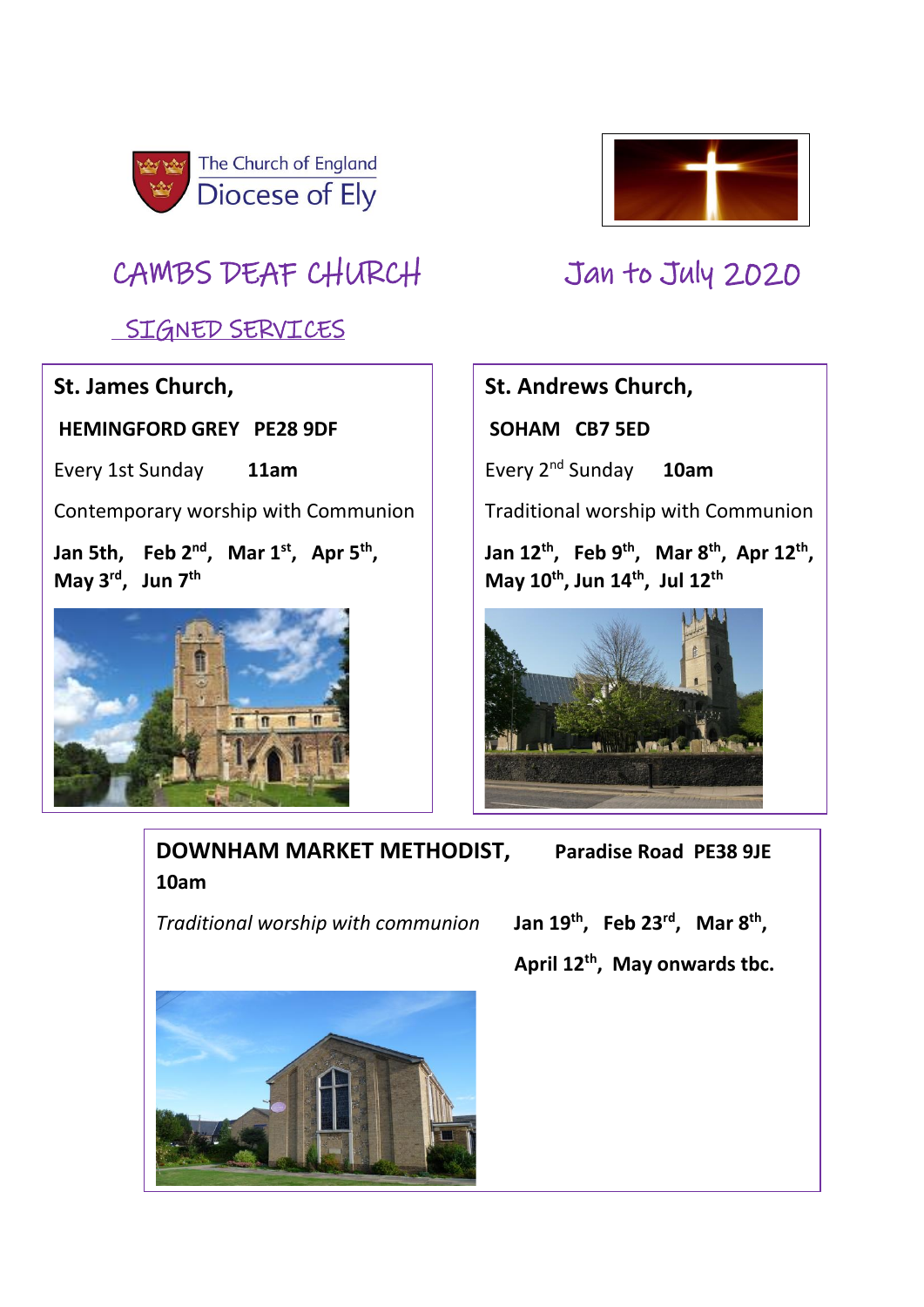

# CAMBS DEAF CHURCH Jan to July 2020

## SIGNED SERVICES

### **St. James Church,**

**HEMINGFORD GREY PE28 9DF** 

Every 1st Sunday **11am**

Contemporary worship with Communion

**Jan 5th, Feb 2nd , Mar 1st , Apr 5th , May 3rd , Jun 7th**





### **St. Andrews Church,**

**SOHAM CB7 5ED** 

Every 2nd Sunday **10am**

Traditional worship with Communion

**Jan 12th , Feb 9th , Mar 8th , Apr 12th , May 10th, Jun 14th , Jul 12th**



## **DOWNHAM MARKET METHODIST, Paradise Road PE38 9JE 10am**

*Traditional worship with communion* 

**, Feb 23rd, Mar 8th , April 12th, May onwards tbc.** 

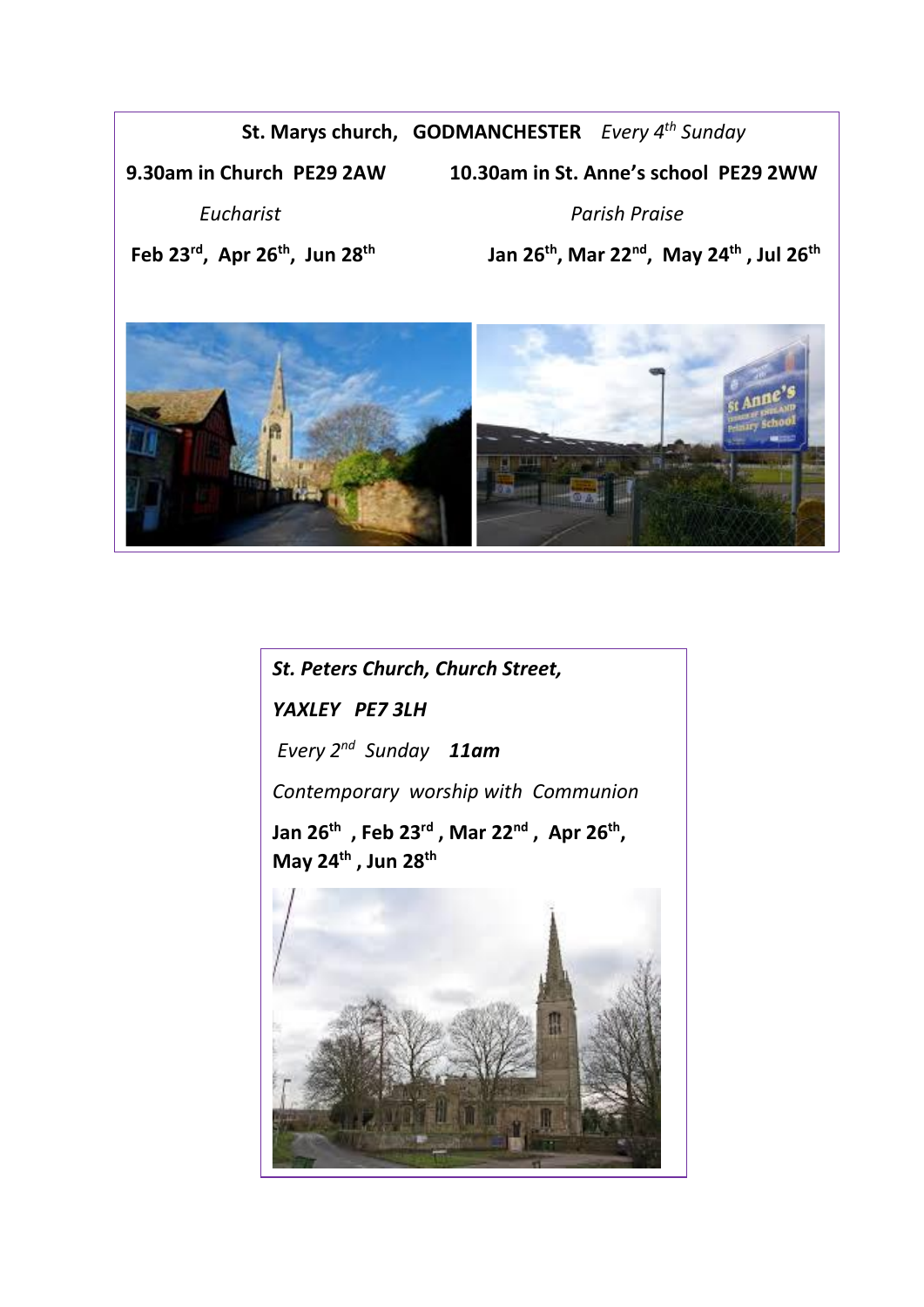### **St. Marys church, GODMANCHESTER** *Every 4th Sunday*

**9.30am in Church PE29 2AW 10.30am in St. Anne's school PE29 2WW**

 *Eucharist**Parish Praise*

**Feb 23rd , Apr 26th , Jun 28th Jan 26th, Mar 22nd , May 24th , Jul 26th** 



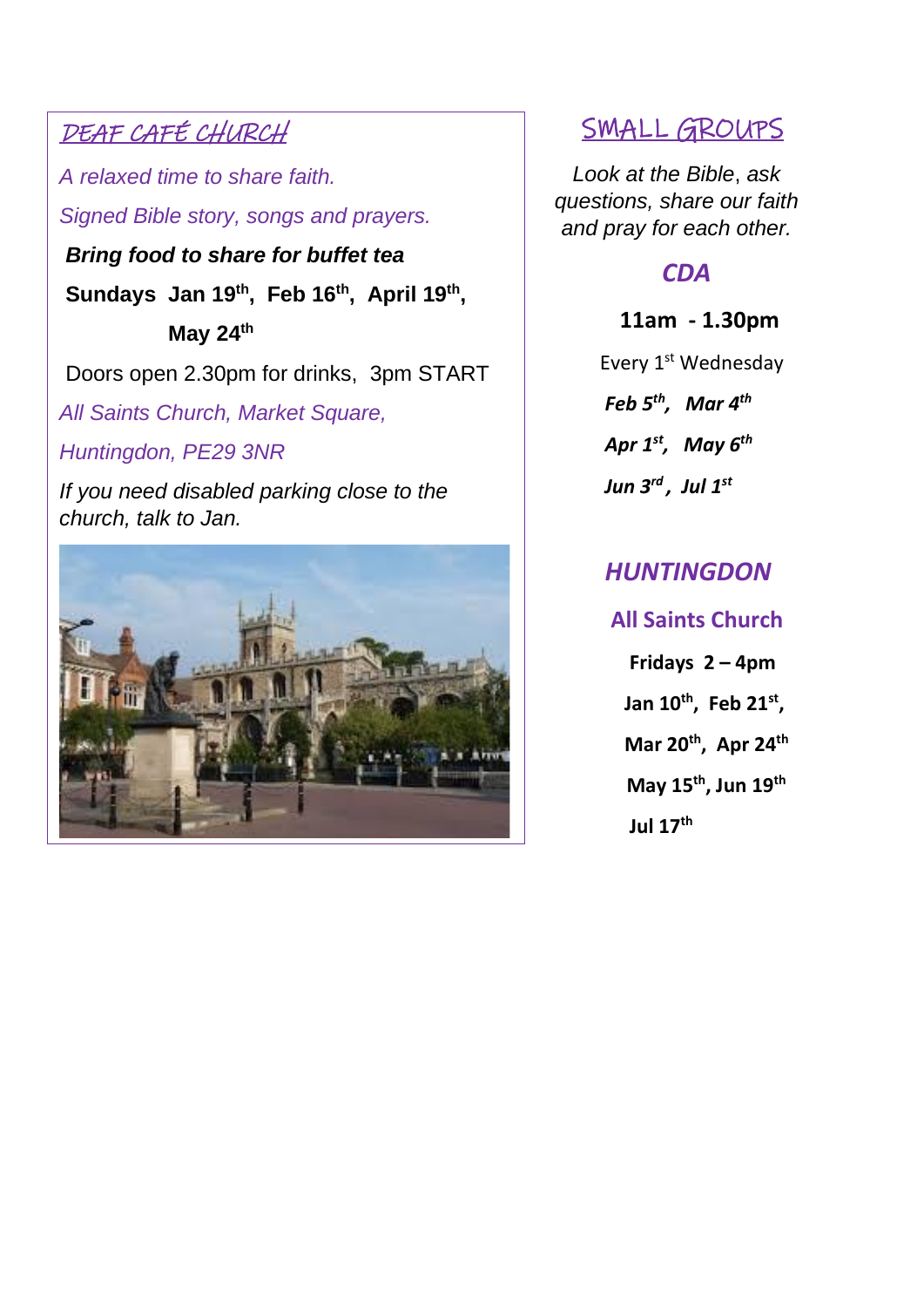## DEAF CAFÉ CHURCH

*A relaxed time to share faith.* 

*Signed Bible story, songs and prayers.*

*Bring food to share for buffet tea* **Sundays Jan 19th, Feb 16th, April 19th , May 24th**

Doors open 2.30pm for drinks, 3pm START

*All Saints Church, Market Square,* 

*Huntingdon, PE29 3NR*

*If you need disabled parking close to the church, talk to Jan.*



# SMALL GROUPS

*Look at the Bible*, *ask questions, share our faith and pray for each other.*

## *CDA*

### **11am - 1.30pm**

Every 1<sup>st</sup> Wednesday  *Feb 5th , Mar 4th Apr 1st , May 6th Jun 3rd , Jul 1st*

# *HUNTINGDON*

 **All Saints Church Fridays 2 – 4pm Jan 10th, Feb 21st , Mar 20th, Apr 24th May 15th, Jun 19th Jul 17th**